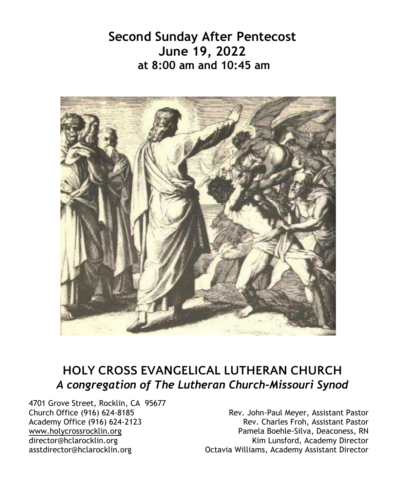**Second Sunday After Pentecost June 19, 2022 at 8:00 am and 10:45 am** 



# **HOLY CROSS EVANGELICAL LUTHERAN CHURCH** *A congregation of The Lutheran Church-Missouri Synod*

4701 Grove Street, Rocklin, CA 95677<br>Church Office (916) 624-8185

Church Office (916) 624-8185 <br>Academy Office (916) 624-2123 Rev. John-Paul Meyer, Assistant Pastor Rev. Charles Froh, Assistant Pastor Rev. Charles Froh, Assistant Pastor www.holycrossrocklin.org www.holycrossrocklin.org Pamela Boehle-Silva, Deaconess, RN<br>director@hclarocklin.org Kim Lunsford, Academy Director director@hclarocklin.org Kim Lunsford, Academy Director Octavia Williams, Academy Assistant Director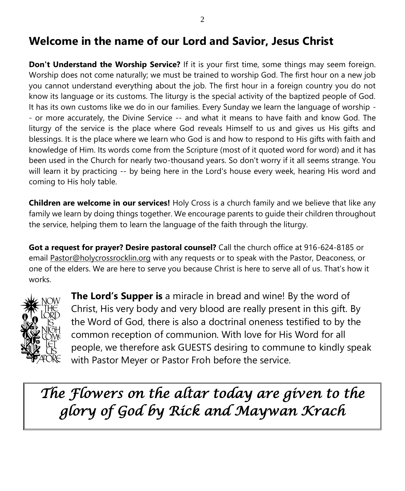# **Welcome in the name of our Lord and Savior, Jesus Christ**

**Don't Understand the Worship Service?** If it is your first time, some things may seem foreign. Worship does not come naturally; we must be trained to worship God. The first hour on a new job you cannot understand everything about the job. The first hour in a foreign country you do not know its language or its customs. The liturgy is the special activity of the baptized people of God. It has its own customs like we do in our families. Every Sunday we learn the language of worship - - or more accurately, the Divine Service -- and what it means to have faith and know God. The liturgy of the service is the place where God reveals Himself to us and gives us His gifts and blessings. It is the place where we learn who God is and how to respond to His gifts with faith and knowledge of Him. Its words come from the Scripture (most of it quoted word for word) and it has been used in the Church for nearly two-thousand years. So don't worry if it all seems strange. You will learn it by practicing -- by being here in the Lord's house every week, hearing His word and coming to His holy table.

**Children are welcome in our services!** Holy Cross is a church family and we believe that like any family we learn by doing things together. We encourage parents to guide their children throughout the service, helping them to learn the language of the faith through the liturgy.

**Got a request for prayer? Desire pastoral counsel?** Call the church office at 916-624-8185 or email [Pastor@holycrossrocklin.org](mailto:Pastor@holycrossrocklin.org) with any requests or to speak with the Pastor, Deaconess, or one of the elders. We are here to serve you because Christ is here to serve all of us. That's how it works.



**The Lord's Supper is** a miracle in bread and wine! By the word of Christ, His very body and very blood are really present in this gift. By the Word of God, there is also a doctrinal oneness testified to by the common reception of communion. With love for His Word for all people, we therefore ask GUESTS desiring to commune to kindly speak with Pastor Meyer or Pastor Froh before the service.

*The Flowers on the altar today are given to the glory of God by Rick and Maywan Krach*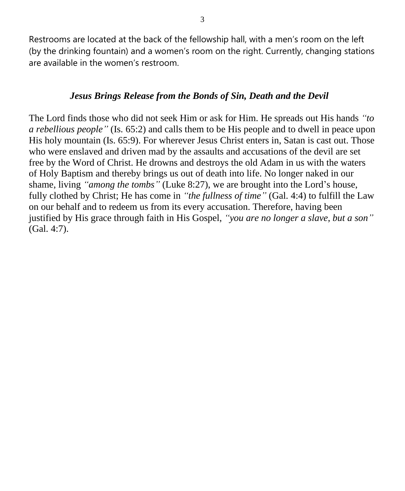Restrooms are located at the back of the fellowship hall, with a men's room on the left (by the drinking fountain) and a women's room on the right. Currently, changing stations are available in the women's restroom.

#### *Jesus Brings Release from the Bonds of Sin, Death and the Devil*

The Lord finds those who did not seek Him or ask for Him. He spreads out His hands *"to a rebellious people"* (Is. 65:2) and calls them to be His people and to dwell in peace upon His holy mountain (Is. 65:9). For wherever Jesus Christ enters in, Satan is cast out. Those who were enslaved and driven mad by the assaults and accusations of the devil are set free by the Word of Christ. He drowns and destroys the old Adam in us with the waters of Holy Baptism and thereby brings us out of death into life. No longer naked in our shame, living *"among the tombs"* (Luke 8:27), we are brought into the Lord's house, fully clothed by Christ; He has come in *"the fullness of time"* (Gal. 4:4) to fulfill the Law on our behalf and to redeem us from its every accusation. Therefore, having been justified by His grace through faith in His Gospel, *"you are no longer a slave, but a son"* (Gal. 4:7).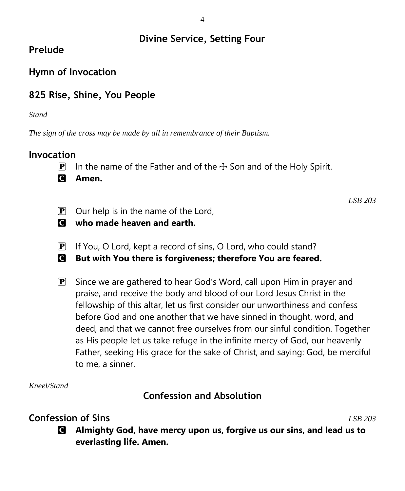## **Divine Service, Setting Four**

# **Prelude**

# **Hymn of Invocation**

# **825 Rise, Shine, You People**

*Stand*

*The sign of the cross may be made by all in remembrance of their Baptism.*

#### **Invocation**

- **P** In the name of the Father and of the  $\div$  Son and of the Holy Spirit.
- C **Amen.**

*LSB 203*

- $\boxed{\mathbf{P}}$  Our help is in the name of the Lord,
- C **who made heaven and earth.**
- $\mathbf{P}$  If You, O Lord, kept a record of sins, O Lord, who could stand?
- C **But with You there is forgiveness; therefore You are feared.**
- $\mathbf{P}$  Since we are gathered to hear God's Word, call upon Him in prayer and praise, and receive the body and blood of our Lord Jesus Christ in the fellowship of this altar, let us first consider our unworthiness and confess before God and one another that we have sinned in thought, word, and deed, and that we cannot free ourselves from our sinful condition. Together as His people let us take refuge in the infinite mercy of God, our heavenly Father, seeking His grace for the sake of Christ, and saying: God, be merciful to me, a sinner.

*Kneel/Stand*

**Confession and Absolution**

# **Confession of Sins** *LSB 203*

C **Almighty God, have mercy upon us, forgive us our sins, and lead us to everlasting life. Amen.**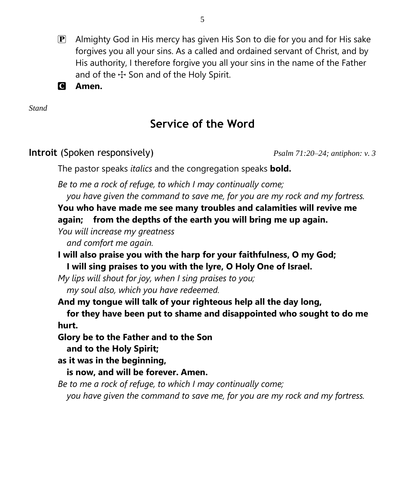- $\mathbf{P}$  Almighty God in His mercy has given His Son to die for you and for His sake forgives you all your sins. As a called and ordained servant of Christ, and by His authority, I therefore forgive you all your sins in the name of the Father and of the  $\pm$  Son and of the Holy Spirit.
- C **Amen.**

*Stand*

# **Service of the Word**

## **Introit** (Spoken responsively) *Psalm 71:20–24; antiphon: v. 3*

The pastor speaks *italics* and the congregation speaks **bold.**

*Be to me a rock of refuge, to which I may continually come; you have given the command to save me, for you are my rock and my fortress.*

**You who have made me see many troubles and calamities will revive me again; from the depths of the earth you will bring me up again.**

*You will increase my greatness*

*and comfort me again.*

**I will also praise you with the harp for your faithfulness, O my God; I will sing praises to you with the lyre, O Holy One of Israel.**

*My lips will shout for joy, when I sing praises to you; my soul also, which you have redeemed.*

**And my tongue will talk of your righteous help all the day long,**

**for they have been put to shame and disappointed who sought to do me hurt.**

**Glory be to the Father and to the Son**

**and to the Holy Spirit;**

**as it was in the beginning,**

**is now, and will be forever. Amen.**

*Be to me a rock of refuge, to which I may continually come;*

*you have given the command to save me, for you are my rock and my fortress.*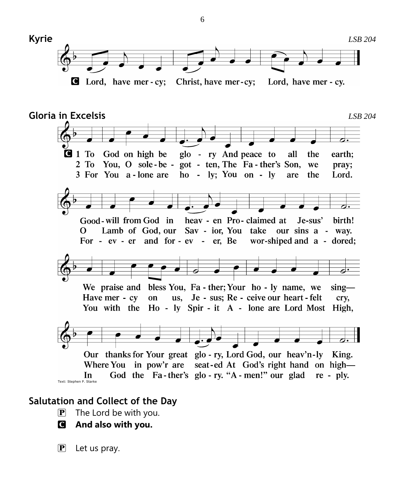

#### **Salutation and Collect of the Day**

- $\overline{P}$  The Lord be with you.
- C **And also with you.**

 $\mathbf{P}$  Let us pray.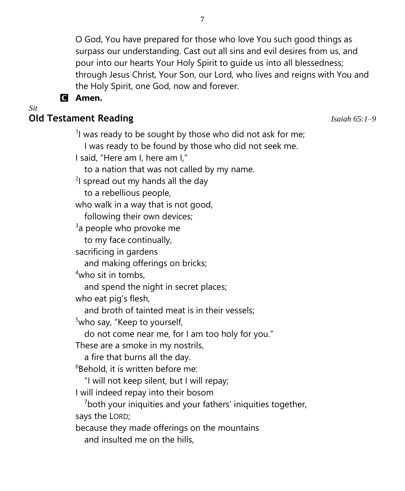O God, You have prepared for those who love You such good things as surpass our understanding. Cast out all sins and evil desires from us, and pour into our hearts Your Holy Spirit to guide us into all blessedness; through Jesus Christ, Your Son, our Lord, who lives and reigns with You and the Holy Spirit, one God, now and forever.

#### C **Amen.**

*Sit*

#### **Old Testament Reading** *Isaiah 65:1–9*

 $1$  was ready to be sought by those who did not ask for me;

I was ready to be found by those who did not seek me.

I said, "Here am I, here am I,"

to a nation that was not called by my name.

<sup>2</sup>I spread out my hands all the day

to a rebellious people,

who walk in a way that is not good,

following their own devices;

<sup>3</sup>a people who provoke me

to my face continually,

sacrificing in gardens

and making offerings on bricks;

 $4$ who sit in tombs.

and spend the night in secret places;

who eat pig's flesh,

and broth of tainted meat is in their vessels;

<sup>5</sup>who say, "Keep to yourself,

do not come near me, for I am too holy for you."

These are a smoke in my nostrils,

a fire that burns all the day.

 $6B$ ehold, it is written before me:

"I will not keep silent, but I will repay;

I will indeed repay into their bosom

 $7$ both your iniquities and your fathers' iniquities together, says the LORD;

because they made offerings on the mountains and insulted me on the hills,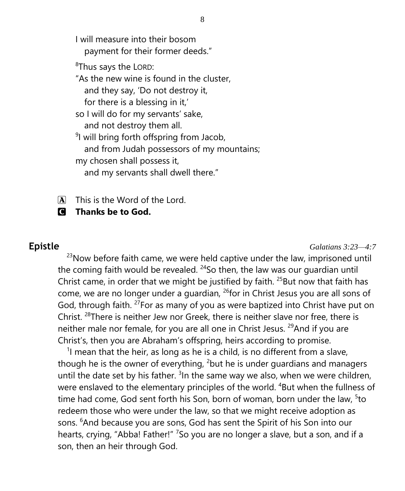I will measure into their bosom payment for their former deeds."

<sup>8</sup>Thus says the LORD:

"As the new wine is found in the cluster,

and they say, 'Do not destroy it,

for there is a blessing in it,'

so I will do for my servants' sake,

and not destroy them all.

<sup>9</sup>I will bring forth offspring from Jacob, and from Judah possessors of my mountains; my chosen shall possess it,

and my servants shall dwell there."

 $\overline{A}$  This is the Word of the Lord.

C **Thanks be to God.**

**Epistle** *Galatians 3:23—4:7*

 $23$ Now before faith came, we were held captive under the law, imprisoned until the coming faith would be revealed.  $24$ So then, the law was our guardian until Christ came, in order that we might be justified by faith.  $25$ But now that faith has come, we are no longer under a guardian, <sup>26</sup>for in Christ Jesus you are all sons of God, through faith. <sup>27</sup>For as many of you as were baptized into Christ have put on Christ. <sup>28</sup>There is neither Jew nor Greek, there is neither slave nor free, there is neither male nor female, for you are all one in Christ Jesus. <sup>29</sup>And if you are Christ's, then you are Abraham's offspring, heirs according to promise.

<sup>1</sup>l mean that the heir, as long as he is a child, is no different from a slave, though he is the owner of everything,  $2$  but he is under guardians and managers until the date set by his father.  $3$ In the same way we also, when we were children, were enslaved to the elementary principles of the world. <sup>4</sup>But when the fullness of time had come, God sent forth his Son, born of woman, born under the law,  $5$ to redeem those who were under the law, so that we might receive adoption as sons. <sup>6</sup>And because you are sons, God has sent the Spirit of his Son into our hearts, crying, "Abba! Father!" <sup>7</sup>So you are no longer a slave, but a son, and if a son, then an heir through God.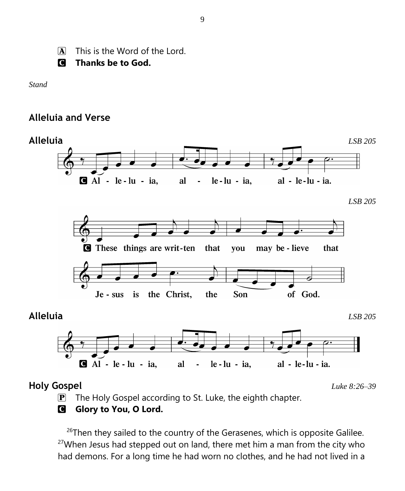$\overline{A}$  This is the Word of the Lord.

C **Thanks be to God.**

*Stand*

#### **Alleluia and Verse**



 $\mathbf{P}$  The Holy Gospel according to St. Luke, the eighth chapter.

#### **G** Glory to You, O Lord.

 $26$ Then they sailed to the country of the Gerasenes, which is opposite Galilee.  $27$ When Jesus had stepped out on land, there met him a man from the city who had demons. For a long time he had worn no clothes, and he had not lived in a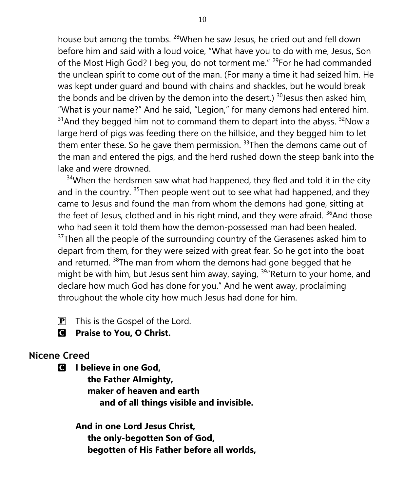house but among the tombs. <sup>28</sup>When he saw Jesus, he cried out and fell down before him and said with a loud voice, "What have you to do with me, Jesus, Son of the Most High God? I beg you, do not torment me." <sup>29</sup>For he had commanded the unclean spirit to come out of the man. (For many a time it had seized him. He was kept under guard and bound with chains and shackles, but he would break the bonds and be driven by the demon into the desert.)  $30$  Jesus then asked him, "What is your name?" And he said, "Legion," for many demons had entered him.  $31$ And they begged him not to command them to depart into the abyss.  $32$ Now a large herd of pigs was feeding there on the hillside, and they begged him to let them enter these. So he gave them permission.  $33$ Then the demons came out of the man and entered the pigs, and the herd rushed down the steep bank into the lake and were drowned.

 $34$ When the herdsmen saw what had happened, they fled and told it in the city and in the country. <sup>35</sup>Then people went out to see what had happened, and they came to Jesus and found the man from whom the demons had gone, sitting at the feet of Jesus, clothed and in his right mind, and they were afraid.  $36$ And those who had seen it told them how the demon-possessed man had been healed.  $37$ Then all the people of the surrounding country of the Gerasenes asked him to depart from them, for they were seized with great fear. So he got into the boat and returned. <sup>38</sup>The man from whom the demons had gone begged that he might be with him, but Jesus sent him away, saying, <sup>39</sup> Return to your home, and declare how much God has done for you." And he went away, proclaiming throughout the whole city how much Jesus had done for him.

- $\boxed{\mathbf{P}}$  This is the Gospel of the Lord.
- C **Praise to You, O Christ.**

#### **Nicene Creed**

C **I believe in one God,**

 **the Father Almighty, maker of heaven and earth and of all things visible and invisible.**

**And in one Lord Jesus Christ, the only-begotten Son of God, begotten of His Father before all worlds,**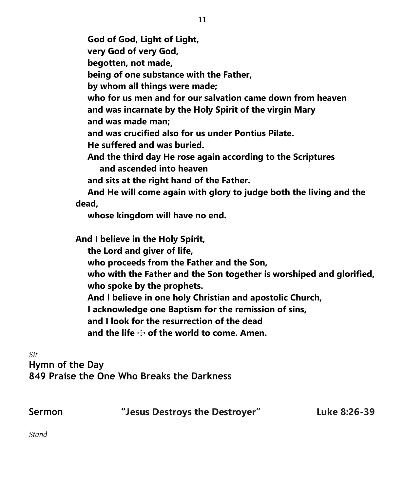**God of God, Light of Light, very God of very God, begotten, not made, being of one substance with the Father, by whom all things were made; who for us men and for our salvation came down from heaven and was incarnate by the Holy Spirit of the virgin Mary and was made man; and was crucified also for us under Pontius Pilate. He suffered and was buried. And the third day He rose again according to the Scriptures and ascended into heaven and sits at the right hand of the Father. And He will come again with glory to judge both the living and the dead, whose kingdom will have no end. And I believe in the Holy Spirit, the Lord and giver of life, who proceeds from the Father and the Son, who with the Father and the Son together is worshiped and glorified,**

 **who spoke by the prophets.**

 **And I believe in one holy Christian and apostolic Church,**

 **I acknowledge one Baptism for the remission of sins,**

 **and I look for the resurrection of the dead**

and the life  $\div$  of the world to come. Amen.

*Sit* **Hymn of the Day 849 Praise the One Who Breaks the Darkness**

| Sermon | "Jesus Destroys the Destroyer" | Luke 8:26-39 |
|--------|--------------------------------|--------------|
|--------|--------------------------------|--------------|

*Stand*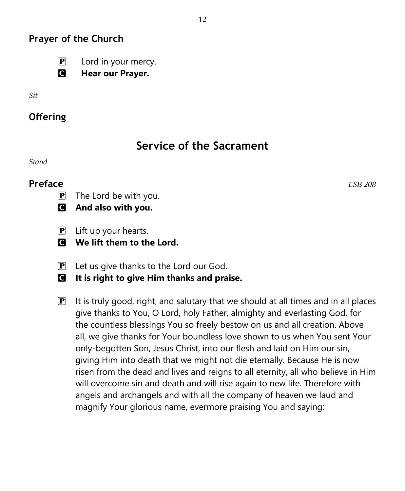## **Prayer of the Church**

- $\mathbf{P}$  Lord in your mercy.
- C **Hear our Prayer.**
- *Sit*
- **Offering**

# **Service of the Sacrament**

*Stand*

## **Preface** *LSB 208*

- $\overline{P}$  The Lord be with you.
- C **And also with you.**
- $\mathbf{P}$  Lift up your hearts.
- C **We lift them to the Lord.**
- $\mathbf{P}$  Let us give thanks to the Lord our God.
- C **It is right to give Him thanks and praise.**
- $\mathbf{P}$  It is truly good, right, and salutary that we should at all times and in all places give thanks to You, O Lord, holy Father, almighty and everlasting God, for the countless blessings You so freely bestow on us and all creation. Above all, we give thanks for Your boundless love shown to us when You sent Your only-begotten Son, Jesus Christ, into our flesh and laid on Him our sin, giving Him into death that we might not die eternally. Because He is now risen from the dead and lives and reigns to all eternity, all who believe in Him will overcome sin and death and will rise again to new life. Therefore with angels and archangels and with all the company of heaven we laud and magnify Your glorious name, evermore praising You and saying: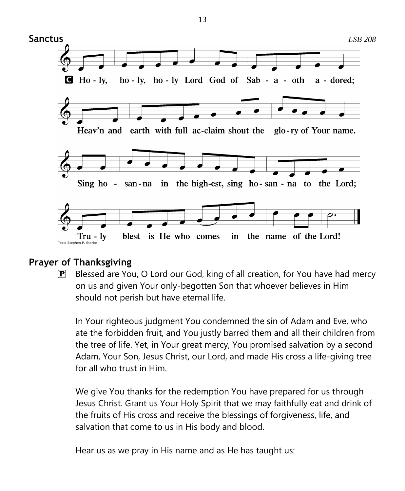

## **Prayer of Thanksgiving**

P Blessed are You, O Lord our God, king of all creation, for You have had mercy on us and given Your only-begotten Son that whoever believes in Him should not perish but have eternal life.

In Your righteous judgment You condemned the sin of Adam and Eve, who ate the forbidden fruit, and You justly barred them and all their children from the tree of life. Yet, in Your great mercy, You promised salvation by a second Adam, Your Son, Jesus Christ, our Lord, and made His cross a life-giving tree for all who trust in Him.

We give You thanks for the redemption You have prepared for us through Jesus Christ. Grant us Your Holy Spirit that we may faithfully eat and drink of the fruits of His cross and receive the blessings of forgiveness, life, and salvation that come to us in His body and blood.

Hear us as we pray in His name and as He has taught us:

13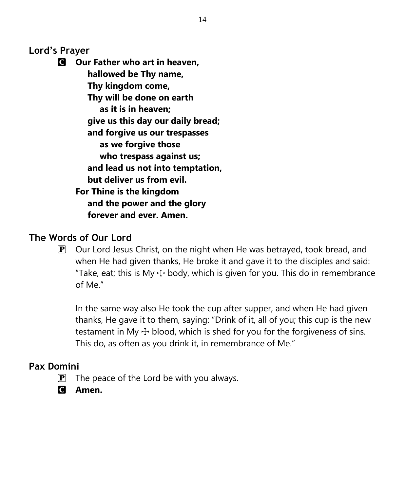**Lord's Prayer**

C **Our Father who art in heaven, hallowed be Thy name, Thy kingdom come, Thy will be done on earth as it is in heaven; give us this day our daily bread; and forgive us our trespasses as we forgive those who trespass against us; and lead us not into temptation, but deliver us from evil. For Thine is the kingdom and the power and the glory forever and ever. Amen.**

## **The Words of Our Lord**

 $\mathbf{P}$  Our Lord Jesus Christ, on the night when He was betrayed, took bread, and when He had given thanks, He broke it and gave it to the disciples and said: "Take, eat; this is My  $\pm$  body, which is given for you. This do in remembrance of Me."

In the same way also He took the cup after supper, and when He had given thanks, He gave it to them, saying: "Drink of it, all of you; this cup is the new testament in My  $\pm$  blood, which is shed for you for the forgiveness of sins. This do, as often as you drink it, in remembrance of Me."

## **Pax Domini**

- $\mathbf{P}$  The peace of the Lord be with you always.
- C **Amen.**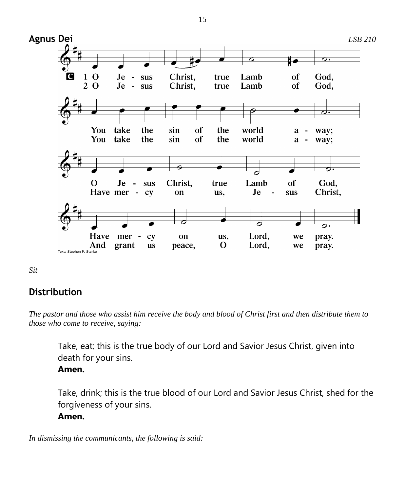

*Sit*

## **Distribution**

*The pastor and those who assist him receive the body and blood of Christ first and then distribute them to those who come to receive, saying:*

Take, eat; this is the true body of our Lord and Savior Jesus Christ, given into death for your sins.

**Amen.**

Take, drink; this is the true blood of our Lord and Savior Jesus Christ, shed for the forgiveness of your sins. **Amen.**

*In dismissing the communicants, the following is said:*

15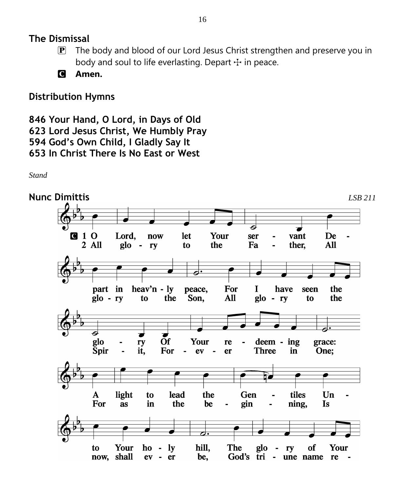#### **The Dismissal**

- $\mathbf{P}$  The body and blood of our Lord Jesus Christ strengthen and preserve you in body and soul to life everlasting. Depart  $\pm$  in peace.
- C **Amen.**

## **Distribution Hymns**

```
846 Your Hand, O Lord, in Days of Old
623 Lord Jesus Christ, We Humbly Pray
594 God's Own Child, I Gladly Say It
653 In Christ There Is No East or West
```
*Stand*

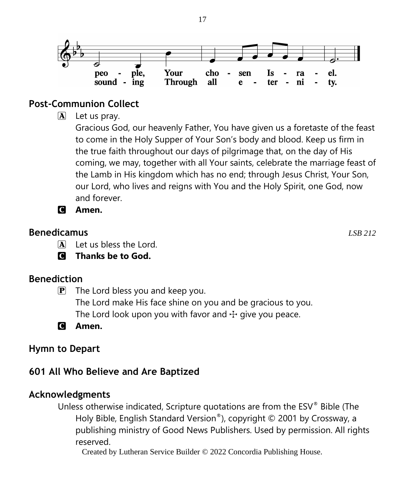

#### **Post-Communion Collect**

 $\mathbf{A}$  Let us pray.

Gracious God, our heavenly Father, You have given us a foretaste of the feast to come in the Holy Supper of Your Son's body and blood. Keep us firm in the true faith throughout our days of pilgrimage that, on the day of His coming, we may, together with all Your saints, celebrate the marriage feast of the Lamb in His kingdom which has no end; through Jesus Christ, Your Son, our Lord, who lives and reigns with You and the Holy Spirit, one God, now and forever.

C **Amen.**

#### **Benedicamus** *LSB 212*

A Let us bless the Lord.

C **Thanks be to God.**

## **Benediction**

 $\mathbf{P}$  The Lord bless you and keep you.

The Lord make His face shine on you and be gracious to you. The Lord look upon you with favor and  $\pm$  give you peace.

C **Amen.**

## **Hymn to Depart**

# **601 All Who Believe and Are Baptized**

## **Acknowledgments**

Unless otherwise indicated, Scripture quotations are from the ESV® Bible (The Holy Bible, English Standard Version®), copyright © 2001 by Crossway, a publishing ministry of Good News Publishers. Used by permission. All rights reserved.

Created by Lutheran Service Builder © 2022 Concordia Publishing House.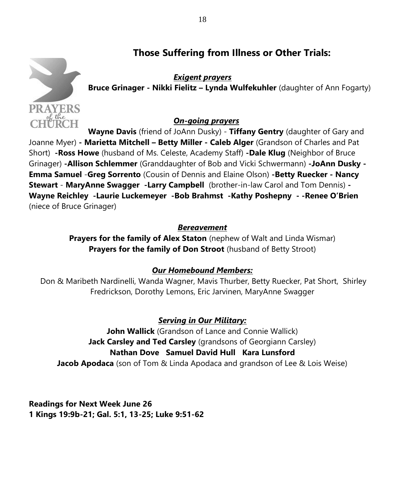## **Those Suffering from Illness or Other Trials:**



*Exigent prayers* **Bruce Grinager - Nikki Fielitz – Lynda Wulfekuhler** (daughter of Ann Fogarty)

#### *On-going prayers*

**Wayne Davis** (friend of JoAnn Dusky) - **Tiffany Gentry** (daughter of Gary and Joanne Myer) **- Marietta Mitchell – Betty Miller - Caleb Alger** (Grandson of Charles and Pat Short) **-Ross Howe** (husband of Ms. Celeste, Academy Staff) **-Dale Klug** (Neighbor of Bruce Grinager) **-Allison Schlemmer** (Granddaughter of Bob and Vicki Schwermann) **-JoAnn Dusky - Emma Samuel** -**Greg Sorrento** (Cousin of Dennis and Elaine Olson) **-Betty Ruecker - Nancy Stewart** - **MaryAnne Swagger -Larry Campbell** (brother-in-law Carol and Tom Dennis) **- Wayne Reichley -Laurie Luckemeyer -Bob Brahmst -Kathy Poshepny - -Renee O'Brien**  (niece of Bruce Grinager)

#### *Bereavement*

**Prayers for the family of Alex Staton** (nephew of Walt and Linda Wismar) **Prayers for the family of Don Stroot** (husband of Betty Stroot)

#### *Our Homebound Members:*

Don & Maribeth Nardinelli, Wanda Wagner, Mavis Thurber, Betty Ruecker, Pat Short, Shirley Fredrickson, Dorothy Lemons, Eric Jarvinen, MaryAnne Swagger

#### *Serving in Our Military:*

**John Wallick** (Grandson of Lance and Connie Wallick) **Jack Carsley and Ted Carsley** (grandsons of Georgiann Carsley) **Nathan Dove Samuel David Hull Kara Lunsford Jacob Apodaca** (son of Tom & Linda Apodaca and grandson of Lee & Lois Weise)

**Readings for Next Week June 26 1 Kings 19:9b-21; Gal. 5:1, 13-25; Luke 9:51-62**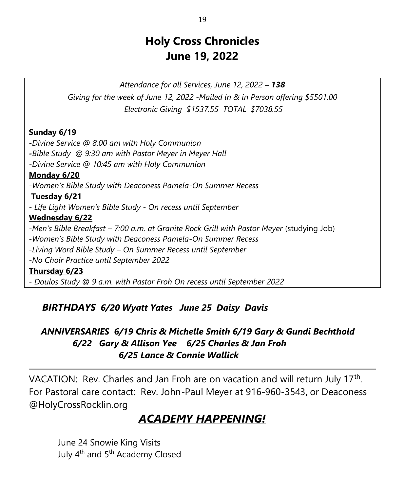# **Holy Cross Chronicles June 19, 2022**

*Attendance for all Services, June 12, 2022 – 138 Giving for the week of June 12, 2022 -Mailed in & in Person offering \$5501.00 Electronic Giving \$1537.55 TOTAL \$7038.55*

#### **Sunday 6/19**

*-Divine Service @ 8:00 am with Holy Communion -Bible Study @ 9:30 am with Pastor Meyer in Meyer Hall -Divine Service @ 10:45 am with Holy Communion* **Monday 6/20** *-Women's Bible Study with Deaconess Pamela-On Summer Recess* **Tuesday 6/21** *- Life Light Women's Bible Study - On recess until September* **Wednesday 6/22** *-Men's Bible Breakfast – 7:00 a.m. at Granite Rock Grill with Pastor Meyer* (studying Job) *-Women's Bible Study with Deaconess Pamela-On Summer Recess -Living Word Bible Study – On Summer Recess until September -No Choir Practice until September 2022* **Thursday 6/23** *- Doulos Study @ 9 a.m. with Pastor Froh On recess until September 2022*

## *BIRTHDAYS 6/20 Wyatt Yates June 25 Daisy Davis*

## *ANNIVERSARIES 6/19 Chris & Michelle Smith 6/19 Gary & Gundi Bechthold 6/22 Gary & Allison Yee 6/25 Charles & Jan Froh 6/25 Lance & Connie Wallick*

VACATION: Rev. Charles and Jan Froh are on vacation and will return July  $17<sup>th</sup>$ . For Pastoral care contact: Rev. John-Paul Meyer at 916-960-3543**,** or Deaconess @HolyCrossRocklin.org

# *ACADEMY HAPPENING!*

June 24 Snowie King Visits July 4<sup>th</sup> and 5<sup>th</sup> Academy Closed